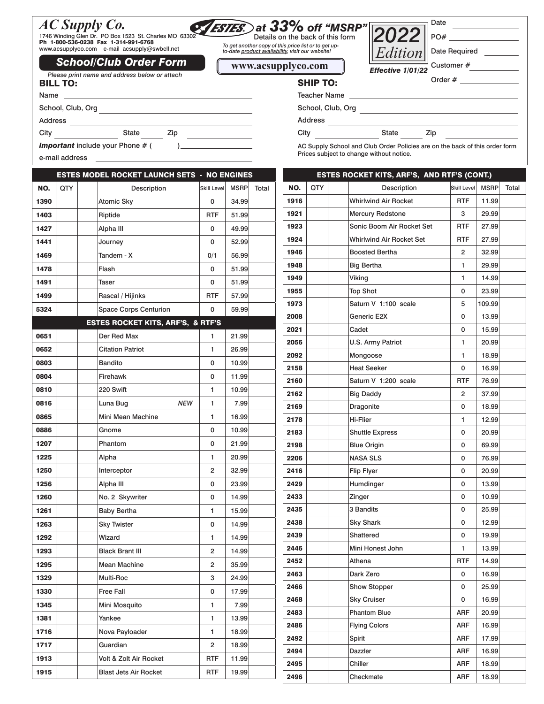# *AC Supply Co.* 1746 Winding Glen Dr. PO Box 1523 St. Charles MO 63302

School, Club, Org

Ph 1-800-536-0238 Fax 1-314-991-6768 www.acsupplyco.com e-mail acsupply@swbell.net

City State Zip

### Details on the back of this form  *at 33% off "MSRP"*

*To get another copy of this price list or to get up-to-date product availability, visit our website!* 



AC Supply School and Club Order Policies are on the back of this order form

## **Effective 1/01/22** *Please print name and address below or attach* **Effective 1/01/22 Effective 1/01/22 CHIP TO: School/Club Order Form**

Customer #

Order #

| <b>Teacher Name</b> |  |
|---------------------|--|
| School, Club, Org   |  |
|                     |  |

Address

City **State** Zip

*Important* include your Phone # (\_\_\_\_\_ )\_\_\_

e-mail address

BILL TO:

Address \_\_

Name

|      |     | <b>ESTES MODEL ROCKET LAUNCH SETS - NO ENGINES</b> |             |             |       |
|------|-----|----------------------------------------------------|-------------|-------------|-------|
| NO.  | QTY | Description                                        | Skill Level | <b>MSRP</b> | Total |
| 1390 |     | <b>Atomic Sky</b>                                  | 0           | 34.99       |       |
| 1403 |     | Riptide                                            | <b>RTF</b>  | 51.99       |       |
| 1427 |     | Alpha III                                          | 0           | 49.99       |       |
| 1441 |     | Journey                                            | 0           | 52.99       |       |
| 1469 |     | Tandem - X                                         | 0/1         | 56.99       |       |
| 1478 |     | Flash                                              | 0           | 51.99       |       |
| 1491 |     | Taser                                              | 0           | 51.99       |       |
| 1499 |     | Rascal / Hijinks                                   | <b>RTF</b>  | 57.99       |       |
| 5324 |     | <b>Space Corps Centurion</b>                       | 0           | 59.99       |       |
|      |     | <b>ESTES ROCKET KITS, ARF'S, &amp; RTF'S</b>       |             |             |       |
| 0651 |     | Der Red Max                                        | 1           | 21.99       |       |
| 0652 |     | <b>Citation Patriot</b>                            | 1           | 26.99       |       |
| 0803 |     | <b>Bandito</b>                                     | 0           | 10.99       |       |
| 0804 |     | Firehawk                                           | 0           | 11.99       |       |
| 0810 |     | 220 Swift                                          | 1           | 10.99       |       |
| 0816 |     | <b>NEW</b><br>Luna Bug                             | 1           | 7.99        |       |
| 0865 |     | Mini Mean Machine                                  | 1           | 16.99       |       |
| 0886 |     | Gnome                                              | 0           | 10.99       |       |
| 1207 |     | Phantom                                            | 0           | 21.99       |       |
| 1225 |     | Alpha                                              | 1           | 20.99       |       |
| 1250 |     | Interceptor                                        | 2           | 32.99       |       |
| 1256 |     | Alpha III                                          | 0           | 23.99       |       |
| 1260 |     | No. 2 Skywriter                                    | 0           | 14.99       |       |
| 1261 |     | <b>Baby Bertha</b>                                 | 1           | 15.99       |       |
| 1263 |     | <b>Sky Twister</b>                                 | 0           | 14.99       |       |
| 1292 |     | Wizard                                             | 1           | 14.99       |       |
| 1293 |     | <b>Black Brant III</b>                             | 2           | 14.99       |       |
| 1295 |     | <b>Mean Machine</b>                                | 2           | 35.99       |       |
| 1329 |     | Multi-Roc                                          | з           | 24.99       |       |
| 1330 |     | <b>Free Fall</b>                                   | 0           | 17.99       |       |
| 1345 |     | Mini Mosquito                                      | 1           | 7.99        |       |
| 1381 |     | Yankee                                             | 1           | 13.99       |       |
| 1716 |     | Nova Payloader                                     | 1           | 18.99       |       |
| 1717 |     | Guardian                                           | 2           | 18.99       |       |
| 1913 |     | Volt & Zolt Air Rocket                             | RTF         | 11.99       |       |
| 1915 |     | <b>Blast Jets Air Rocket</b>                       | RTF         | 19.99       |       |
|      |     |                                                    |             |             |       |

| Prices subject to change without notice. |     |  |                                             |                |             |       |
|------------------------------------------|-----|--|---------------------------------------------|----------------|-------------|-------|
|                                          |     |  | ESTES ROCKET KITS, ARF'S, AND RTF'S (CONT.) |                |             |       |
| NO.                                      | QTY |  | Description                                 | Skill Level    | <b>MSRP</b> | Total |
| 1916                                     |     |  | <b>Whirlwind Air Rocket</b>                 | <b>RTF</b>     | 11.99       |       |
| 1921                                     |     |  | <b>Mercury Redstone</b>                     | з              | 29.99       |       |
| 1923                                     |     |  | Sonic Boom Air Rocket Set                   | <b>RTF</b>     | 27.99       |       |
| 1924                                     |     |  | <b>Whirlwind Air Rocket Set</b>             | <b>RTF</b>     | 27.99       |       |
| 1946                                     |     |  | <b>Boosted Bertha</b>                       | $\overline{2}$ | 32.99       |       |
| 1948                                     |     |  | <b>Big Bertha</b>                           | 1              | 29.99       |       |
| 1949                                     |     |  | Viking                                      | 1              | 14.99       |       |
| 1955                                     |     |  | <b>Top Shot</b>                             | 0              | 23.99       |       |
| 1973                                     |     |  | Saturn V 1:100 scale                        | 5              | 109.99      |       |
| 2008                                     |     |  | Generic E2X                                 | 0              | 13.99       |       |
| 2021                                     |     |  | Cadet                                       | 0              | 15.99       |       |
| 2056                                     |     |  | U.S. Army Patriot                           | 1              | 20.99       |       |
| 2092                                     |     |  | Mongoose                                    | 1              | 18.99       |       |
| 2158                                     |     |  | <b>Heat Seeker</b>                          | 0              | 16.99       |       |
| 2160                                     |     |  | Saturn V 1:200 scale                        | <b>RTF</b>     | 76.99       |       |
| 2162                                     |     |  | <b>Big Daddy</b>                            | 2              | 37.99       |       |
| 2169                                     |     |  | Dragonite                                   | $\Omega$       | 18.99       |       |
| 2178                                     |     |  | <b>Hi-Flier</b>                             | 1              | 12.99       |       |
| 2183                                     |     |  | <b>Shuttle Express</b>                      | 0              | 20.99       |       |
| 2198                                     |     |  | <b>Blue Origin</b>                          | 0              | 69.99       |       |
| 2206                                     |     |  | <b>NASA SLS</b>                             | 0              | 76.99       |       |
| 2416                                     |     |  | <b>Flip Flyer</b>                           | 0              | 20.99       |       |
| 2429                                     |     |  | Humdinger                                   | 0              | 13.99       |       |
| 2433                                     |     |  | Zinger                                      | 0              | 10.99       |       |

2435 3 Bandits 1 0 25.99 2438 Sky Shark 0 12.99 2439 Shattered 0 19.99 2446 Mini Honest John 1 13.99 2452 | Athena RTF 14.99 2463 Dark Zero 0 16.99 2466 Show Stopper 0 25.99 2468 Sky Cruiser **0 16.99** 2483 **Phantom Blue** ARF 20.99 2486 **Flying Colors** ARF 16.99 2492 | Spirit | ARF | 17.99 2494 Dazzler **Dazzler ARF** 16.99 2495 | Chiller Chiler | ARF | 18.99 2496 Checkmate ARF 18.99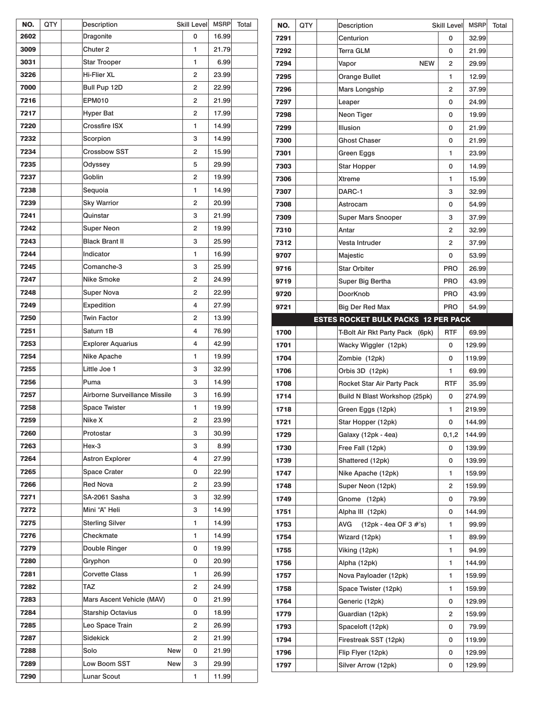| NO.  | QTY | Description                   | Skill Level    | MSRP  | Total |
|------|-----|-------------------------------|----------------|-------|-------|
| 2602 |     | Dragonite                     | 0              | 16.99 |       |
| 3009 |     | Chuter <sub>2</sub>           | 1              | 21.79 |       |
| 3031 |     | <b>Star Trooper</b>           | 1              | 6.99  |       |
| 3226 |     | Hi-Flier XL                   | $\overline{c}$ | 23.99 |       |
| 7000 |     | Bull Pup 12D                  | 2              | 22.99 |       |
| 7216 |     | <b>EPM010</b>                 | $\overline{c}$ | 21.99 |       |
| 7217 |     | <b>Hyper Bat</b>              | $\overline{c}$ | 17.99 |       |
| 7220 |     | <b>Crossfire ISX</b>          | 1              | 14.99 |       |
| 7232 |     | Scorpion                      | 3              | 14.99 |       |
| 7234 |     | <b>Crossbow SST</b>           | $\overline{c}$ | 15.99 |       |
| 7235 |     | Odyssey                       | 5              | 29.99 |       |
| 7237 |     | Goblin                        | 2              | 19.99 |       |
| 7238 |     | Sequoia                       | 1              | 14.99 |       |
| 7239 |     | <b>Sky Warrior</b>            | $\overline{c}$ | 20.99 |       |
| 7241 |     | Quinstar                      | 3              | 21.99 |       |
| 7242 |     | <b>Super Neon</b>             | $\overline{c}$ | 19.99 |       |
| 7243 |     | <b>Black Brant II</b>         | 3              | 25.99 |       |
| 7244 |     | Indicator                     | 1              | 16.99 |       |
| 7245 |     | Comanche-3                    | 3              | 25.99 |       |
| 7247 |     | Nike Smoke                    | 2              | 24.99 |       |
| 7248 |     | <b>Super Nova</b>             | $\overline{c}$ | 22.99 |       |
| 7249 |     | Expedition                    | 4              | 27.99 |       |
| 7250 |     | <b>Twin Factor</b>            | 2              | 13.99 |       |
| 7251 |     | Saturn 1B                     | 4              | 76.99 |       |
| 7253 |     | <b>Explorer Aquarius</b>      | 4              | 42.99 |       |
| 7254 |     | Nike Apache                   | 1              | 19.99 |       |
| 7255 |     | Little Joe 1                  | 3              | 32.99 |       |
| 7256 |     | Puma                          | 3              | 14.99 |       |
| 7257 |     | Airborne Surveillance Missile | 3              | 16.99 |       |
| 7258 |     | Space Twister                 | 1              | 19.99 |       |
| 7259 |     | Nike X                        | 2              | 23.99 |       |
| 7260 |     | Protostar                     | 3              | 30.99 |       |
| 7263 |     | Hex-3                         | з              | 8.99  |       |
| 7264 |     | <b>Astron Explorer</b>        | 4              | 27.99 |       |
| 7265 |     | <b>Space Crater</b>           | 0              | 22.99 |       |
| 7266 |     | <b>Red Nova</b>               | $\overline{c}$ | 23.99 |       |
| 7271 |     | SA-2061 Sasha                 | 3              | 32.99 |       |
| 7272 |     | Mini "A" Heli                 | з              | 14.99 |       |
| 7275 |     | <b>Sterling Silver</b>        | 1              | 14.99 |       |
| 7276 |     | Checkmate                     | 1              | 14.99 |       |
| 7279 |     | Double Ringer                 | 0              | 19.99 |       |
| 7280 |     | Gryphon                       | 0              | 20.99 |       |
| 7281 |     | <b>Corvette Class</b>         | 1              | 26.99 |       |
| 7282 |     | TAZ                           | 2              | 24.99 |       |
| 7283 |     | Mars Ascent Vehicle (MAV)     | 0              | 21.99 |       |
| 7284 |     | <b>Starship Octavius</b>      | 0              | 18.99 |       |
| 7285 |     | Leo Space Train               | 2              | 26.99 |       |
| 7287 |     | Sidekick                      | 2              | 21.99 |       |
| 7288 |     | Solo<br>New                   | 0              | 21.99 |       |
| 7289 |     | Low Boom SST<br>New           | з              | 29.99 |       |
| 7290 |     | Lunar Scout                   | 1              | 11.99 |       |

| Centurion<br>7291<br>0<br>32.99<br>Terra GLM<br>7292<br>0<br>21.99<br>7294<br>Vapor<br><b>NEW</b><br>2<br>29.99<br><b>Orange Bullet</b><br>7295<br>1<br>12.99<br>7296<br>Mars Longship<br>$\overline{2}$<br>37.99<br>0<br>7297<br>Leaper<br>24.99<br>Neon Tiger<br>7298<br>0<br>19.99<br><b>Illusion</b><br>7299<br>0<br>21.99<br><b>Ghost Chaser</b><br>7300<br>0<br>21.99<br>7301<br>Green Eggs<br>1<br>23.99<br>Star Hopper<br>0<br>14.99<br>7303<br>Xtreme<br>7306<br>1<br>15.99<br>DARC-1<br>3<br>7307<br>32.99<br>7308<br>Astrocam<br>0<br>54.99<br>7309<br><b>Super Mars Snooper</b><br>3<br>37.99<br>Antar<br>$\overline{2}$<br>32.99<br>7310<br>Vesta Intruder<br>7312<br>2<br>37.99<br>Majestic<br>9707<br>0<br>53.99<br><b>Star Orbiter</b><br><b>PRO</b><br>9716<br>26.99<br>9719<br>Super Big Bertha<br><b>PRO</b><br>43.99<br>DoorKnob<br><b>PRO</b><br>43.99<br>9720<br>9721<br><b>Big Der Red Max</b><br><b>PRO</b><br>54.99<br><b>ESTES ROCKET BULK PACKS 12 PER PACK</b><br><b>RTF</b><br>1700<br>T-Bolt Air Rkt Party Pack<br>69.99<br>(6pk)<br>Wacky Wiggler (12pk)<br>1701<br>0<br>129.99<br>Zombie (12pk)<br>0<br>119.99<br>1704<br>Orbis 3D (12pk)<br>1706<br>1<br>69.99<br>Rocket Star Air Party Pack<br><b>RTF</b><br>1708<br>35.99<br>Build N Blast Workshop (25pk)<br>1714<br>0<br>274.99<br>1718<br>Green Eggs (12pk)<br>1<br>219.99<br>Star Hopper (12pk)<br>1721<br>0<br>144.99<br>Galaxy (12pk - 4ea)<br>1729<br>0, 1, 2<br>144.99<br>Free Fall (12pk)<br>1730<br>0<br>139.99<br>Shattered (12pk)<br>1739<br>0<br>139.99<br>1747<br>Nike Apache (12pk)<br>1<br>159.99<br>Super Neon (12pk)<br>2<br>159.99<br>1748<br>1749<br>Gnome<br>(12pk)<br>0<br>79.99<br>Alpha III (12pk)<br>1751<br>0<br>144.99<br>AVG<br>(12pk - 4ea OF 3 #'s)<br>1<br>1753<br>99.99<br>1754<br>Wizard (12pk)<br>1<br>89.99<br>Viking (12pk)<br>1<br>94.99<br>1755<br>Alpha (12pk)<br>144.99<br>1756<br>1<br>Nova Payloader (12pk)<br>1<br>1757<br>159.99<br>Space Twister (12pk)<br>1<br>1758<br>159.99<br>1764<br>Generic (12pk)<br>0<br>129.99<br>Guardian (12pk)<br>2<br>159.99<br>1779 | Spaceloft (12pk)<br>1793<br>0<br>79.99<br>1794<br>Firestreak SST (12pk)<br>0<br>119.99<br>0 | NO. | QTY | Description | Skill Level | <b>MSRP</b> | Total |
|---------------------------------------------------------------------------------------------------------------------------------------------------------------------------------------------------------------------------------------------------------------------------------------------------------------------------------------------------------------------------------------------------------------------------------------------------------------------------------------------------------------------------------------------------------------------------------------------------------------------------------------------------------------------------------------------------------------------------------------------------------------------------------------------------------------------------------------------------------------------------------------------------------------------------------------------------------------------------------------------------------------------------------------------------------------------------------------------------------------------------------------------------------------------------------------------------------------------------------------------------------------------------------------------------------------------------------------------------------------------------------------------------------------------------------------------------------------------------------------------------------------------------------------------------------------------------------------------------------------------------------------------------------------------------------------------------------------------------------------------------------------------------------------------------------------------------------------------------------------------------------------------------------------------------------------------------------------------------------------------------------------------------------------------------------------------------------------------------|---------------------------------------------------------------------------------------------|-----|-----|-------------|-------------|-------------|-------|
|                                                                                                                                                                                                                                                                                                                                                                                                                                                                                                                                                                                                                                                                                                                                                                                                                                                                                                                                                                                                                                                                                                                                                                                                                                                                                                                                                                                                                                                                                                                                                                                                                                                                                                                                                                                                                                                                                                                                                                                                                                                                                                   |                                                                                             |     |     |             |             |             |       |
|                                                                                                                                                                                                                                                                                                                                                                                                                                                                                                                                                                                                                                                                                                                                                                                                                                                                                                                                                                                                                                                                                                                                                                                                                                                                                                                                                                                                                                                                                                                                                                                                                                                                                                                                                                                                                                                                                                                                                                                                                                                                                                   |                                                                                             |     |     |             |             |             |       |
|                                                                                                                                                                                                                                                                                                                                                                                                                                                                                                                                                                                                                                                                                                                                                                                                                                                                                                                                                                                                                                                                                                                                                                                                                                                                                                                                                                                                                                                                                                                                                                                                                                                                                                                                                                                                                                                                                                                                                                                                                                                                                                   |                                                                                             |     |     |             |             |             |       |
|                                                                                                                                                                                                                                                                                                                                                                                                                                                                                                                                                                                                                                                                                                                                                                                                                                                                                                                                                                                                                                                                                                                                                                                                                                                                                                                                                                                                                                                                                                                                                                                                                                                                                                                                                                                                                                                                                                                                                                                                                                                                                                   |                                                                                             |     |     |             |             |             |       |
|                                                                                                                                                                                                                                                                                                                                                                                                                                                                                                                                                                                                                                                                                                                                                                                                                                                                                                                                                                                                                                                                                                                                                                                                                                                                                                                                                                                                                                                                                                                                                                                                                                                                                                                                                                                                                                                                                                                                                                                                                                                                                                   |                                                                                             |     |     |             |             |             |       |
|                                                                                                                                                                                                                                                                                                                                                                                                                                                                                                                                                                                                                                                                                                                                                                                                                                                                                                                                                                                                                                                                                                                                                                                                                                                                                                                                                                                                                                                                                                                                                                                                                                                                                                                                                                                                                                                                                                                                                                                                                                                                                                   |                                                                                             |     |     |             |             |             |       |
|                                                                                                                                                                                                                                                                                                                                                                                                                                                                                                                                                                                                                                                                                                                                                                                                                                                                                                                                                                                                                                                                                                                                                                                                                                                                                                                                                                                                                                                                                                                                                                                                                                                                                                                                                                                                                                                                                                                                                                                                                                                                                                   |                                                                                             |     |     |             |             |             |       |
|                                                                                                                                                                                                                                                                                                                                                                                                                                                                                                                                                                                                                                                                                                                                                                                                                                                                                                                                                                                                                                                                                                                                                                                                                                                                                                                                                                                                                                                                                                                                                                                                                                                                                                                                                                                                                                                                                                                                                                                                                                                                                                   |                                                                                             |     |     |             |             |             |       |
|                                                                                                                                                                                                                                                                                                                                                                                                                                                                                                                                                                                                                                                                                                                                                                                                                                                                                                                                                                                                                                                                                                                                                                                                                                                                                                                                                                                                                                                                                                                                                                                                                                                                                                                                                                                                                                                                                                                                                                                                                                                                                                   |                                                                                             |     |     |             |             |             |       |
|                                                                                                                                                                                                                                                                                                                                                                                                                                                                                                                                                                                                                                                                                                                                                                                                                                                                                                                                                                                                                                                                                                                                                                                                                                                                                                                                                                                                                                                                                                                                                                                                                                                                                                                                                                                                                                                                                                                                                                                                                                                                                                   |                                                                                             |     |     |             |             |             |       |
|                                                                                                                                                                                                                                                                                                                                                                                                                                                                                                                                                                                                                                                                                                                                                                                                                                                                                                                                                                                                                                                                                                                                                                                                                                                                                                                                                                                                                                                                                                                                                                                                                                                                                                                                                                                                                                                                                                                                                                                                                                                                                                   |                                                                                             |     |     |             |             |             |       |
|                                                                                                                                                                                                                                                                                                                                                                                                                                                                                                                                                                                                                                                                                                                                                                                                                                                                                                                                                                                                                                                                                                                                                                                                                                                                                                                                                                                                                                                                                                                                                                                                                                                                                                                                                                                                                                                                                                                                                                                                                                                                                                   |                                                                                             |     |     |             |             |             |       |
|                                                                                                                                                                                                                                                                                                                                                                                                                                                                                                                                                                                                                                                                                                                                                                                                                                                                                                                                                                                                                                                                                                                                                                                                                                                                                                                                                                                                                                                                                                                                                                                                                                                                                                                                                                                                                                                                                                                                                                                                                                                                                                   |                                                                                             |     |     |             |             |             |       |
|                                                                                                                                                                                                                                                                                                                                                                                                                                                                                                                                                                                                                                                                                                                                                                                                                                                                                                                                                                                                                                                                                                                                                                                                                                                                                                                                                                                                                                                                                                                                                                                                                                                                                                                                                                                                                                                                                                                                                                                                                                                                                                   |                                                                                             |     |     |             |             |             |       |
|                                                                                                                                                                                                                                                                                                                                                                                                                                                                                                                                                                                                                                                                                                                                                                                                                                                                                                                                                                                                                                                                                                                                                                                                                                                                                                                                                                                                                                                                                                                                                                                                                                                                                                                                                                                                                                                                                                                                                                                                                                                                                                   |                                                                                             |     |     |             |             |             |       |
|                                                                                                                                                                                                                                                                                                                                                                                                                                                                                                                                                                                                                                                                                                                                                                                                                                                                                                                                                                                                                                                                                                                                                                                                                                                                                                                                                                                                                                                                                                                                                                                                                                                                                                                                                                                                                                                                                                                                                                                                                                                                                                   |                                                                                             |     |     |             |             |             |       |
|                                                                                                                                                                                                                                                                                                                                                                                                                                                                                                                                                                                                                                                                                                                                                                                                                                                                                                                                                                                                                                                                                                                                                                                                                                                                                                                                                                                                                                                                                                                                                                                                                                                                                                                                                                                                                                                                                                                                                                                                                                                                                                   |                                                                                             |     |     |             |             |             |       |
|                                                                                                                                                                                                                                                                                                                                                                                                                                                                                                                                                                                                                                                                                                                                                                                                                                                                                                                                                                                                                                                                                                                                                                                                                                                                                                                                                                                                                                                                                                                                                                                                                                                                                                                                                                                                                                                                                                                                                                                                                                                                                                   |                                                                                             |     |     |             |             |             |       |
|                                                                                                                                                                                                                                                                                                                                                                                                                                                                                                                                                                                                                                                                                                                                                                                                                                                                                                                                                                                                                                                                                                                                                                                                                                                                                                                                                                                                                                                                                                                                                                                                                                                                                                                                                                                                                                                                                                                                                                                                                                                                                                   |                                                                                             |     |     |             |             |             |       |
|                                                                                                                                                                                                                                                                                                                                                                                                                                                                                                                                                                                                                                                                                                                                                                                                                                                                                                                                                                                                                                                                                                                                                                                                                                                                                                                                                                                                                                                                                                                                                                                                                                                                                                                                                                                                                                                                                                                                                                                                                                                                                                   |                                                                                             |     |     |             |             |             |       |
|                                                                                                                                                                                                                                                                                                                                                                                                                                                                                                                                                                                                                                                                                                                                                                                                                                                                                                                                                                                                                                                                                                                                                                                                                                                                                                                                                                                                                                                                                                                                                                                                                                                                                                                                                                                                                                                                                                                                                                                                                                                                                                   |                                                                                             |     |     |             |             |             |       |
|                                                                                                                                                                                                                                                                                                                                                                                                                                                                                                                                                                                                                                                                                                                                                                                                                                                                                                                                                                                                                                                                                                                                                                                                                                                                                                                                                                                                                                                                                                                                                                                                                                                                                                                                                                                                                                                                                                                                                                                                                                                                                                   |                                                                                             |     |     |             |             |             |       |
|                                                                                                                                                                                                                                                                                                                                                                                                                                                                                                                                                                                                                                                                                                                                                                                                                                                                                                                                                                                                                                                                                                                                                                                                                                                                                                                                                                                                                                                                                                                                                                                                                                                                                                                                                                                                                                                                                                                                                                                                                                                                                                   |                                                                                             |     |     |             |             |             |       |
|                                                                                                                                                                                                                                                                                                                                                                                                                                                                                                                                                                                                                                                                                                                                                                                                                                                                                                                                                                                                                                                                                                                                                                                                                                                                                                                                                                                                                                                                                                                                                                                                                                                                                                                                                                                                                                                                                                                                                                                                                                                                                                   |                                                                                             |     |     |             |             |             |       |
|                                                                                                                                                                                                                                                                                                                                                                                                                                                                                                                                                                                                                                                                                                                                                                                                                                                                                                                                                                                                                                                                                                                                                                                                                                                                                                                                                                                                                                                                                                                                                                                                                                                                                                                                                                                                                                                                                                                                                                                                                                                                                                   |                                                                                             |     |     |             |             |             |       |
|                                                                                                                                                                                                                                                                                                                                                                                                                                                                                                                                                                                                                                                                                                                                                                                                                                                                                                                                                                                                                                                                                                                                                                                                                                                                                                                                                                                                                                                                                                                                                                                                                                                                                                                                                                                                                                                                                                                                                                                                                                                                                                   |                                                                                             |     |     |             |             |             |       |
|                                                                                                                                                                                                                                                                                                                                                                                                                                                                                                                                                                                                                                                                                                                                                                                                                                                                                                                                                                                                                                                                                                                                                                                                                                                                                                                                                                                                                                                                                                                                                                                                                                                                                                                                                                                                                                                                                                                                                                                                                                                                                                   |                                                                                             |     |     |             |             |             |       |
|                                                                                                                                                                                                                                                                                                                                                                                                                                                                                                                                                                                                                                                                                                                                                                                                                                                                                                                                                                                                                                                                                                                                                                                                                                                                                                                                                                                                                                                                                                                                                                                                                                                                                                                                                                                                                                                                                                                                                                                                                                                                                                   |                                                                                             |     |     |             |             |             |       |
|                                                                                                                                                                                                                                                                                                                                                                                                                                                                                                                                                                                                                                                                                                                                                                                                                                                                                                                                                                                                                                                                                                                                                                                                                                                                                                                                                                                                                                                                                                                                                                                                                                                                                                                                                                                                                                                                                                                                                                                                                                                                                                   |                                                                                             |     |     |             |             |             |       |
|                                                                                                                                                                                                                                                                                                                                                                                                                                                                                                                                                                                                                                                                                                                                                                                                                                                                                                                                                                                                                                                                                                                                                                                                                                                                                                                                                                                                                                                                                                                                                                                                                                                                                                                                                                                                                                                                                                                                                                                                                                                                                                   |                                                                                             |     |     |             |             |             |       |
|                                                                                                                                                                                                                                                                                                                                                                                                                                                                                                                                                                                                                                                                                                                                                                                                                                                                                                                                                                                                                                                                                                                                                                                                                                                                                                                                                                                                                                                                                                                                                                                                                                                                                                                                                                                                                                                                                                                                                                                                                                                                                                   |                                                                                             |     |     |             |             |             |       |
|                                                                                                                                                                                                                                                                                                                                                                                                                                                                                                                                                                                                                                                                                                                                                                                                                                                                                                                                                                                                                                                                                                                                                                                                                                                                                                                                                                                                                                                                                                                                                                                                                                                                                                                                                                                                                                                                                                                                                                                                                                                                                                   |                                                                                             |     |     |             |             |             |       |
|                                                                                                                                                                                                                                                                                                                                                                                                                                                                                                                                                                                                                                                                                                                                                                                                                                                                                                                                                                                                                                                                                                                                                                                                                                                                                                                                                                                                                                                                                                                                                                                                                                                                                                                                                                                                                                                                                                                                                                                                                                                                                                   |                                                                                             |     |     |             |             |             |       |
|                                                                                                                                                                                                                                                                                                                                                                                                                                                                                                                                                                                                                                                                                                                                                                                                                                                                                                                                                                                                                                                                                                                                                                                                                                                                                                                                                                                                                                                                                                                                                                                                                                                                                                                                                                                                                                                                                                                                                                                                                                                                                                   |                                                                                             |     |     |             |             |             |       |
|                                                                                                                                                                                                                                                                                                                                                                                                                                                                                                                                                                                                                                                                                                                                                                                                                                                                                                                                                                                                                                                                                                                                                                                                                                                                                                                                                                                                                                                                                                                                                                                                                                                                                                                                                                                                                                                                                                                                                                                                                                                                                                   |                                                                                             |     |     |             |             |             |       |
|                                                                                                                                                                                                                                                                                                                                                                                                                                                                                                                                                                                                                                                                                                                                                                                                                                                                                                                                                                                                                                                                                                                                                                                                                                                                                                                                                                                                                                                                                                                                                                                                                                                                                                                                                                                                                                                                                                                                                                                                                                                                                                   |                                                                                             |     |     |             |             |             |       |
|                                                                                                                                                                                                                                                                                                                                                                                                                                                                                                                                                                                                                                                                                                                                                                                                                                                                                                                                                                                                                                                                                                                                                                                                                                                                                                                                                                                                                                                                                                                                                                                                                                                                                                                                                                                                                                                                                                                                                                                                                                                                                                   |                                                                                             |     |     |             |             |             |       |
|                                                                                                                                                                                                                                                                                                                                                                                                                                                                                                                                                                                                                                                                                                                                                                                                                                                                                                                                                                                                                                                                                                                                                                                                                                                                                                                                                                                                                                                                                                                                                                                                                                                                                                                                                                                                                                                                                                                                                                                                                                                                                                   |                                                                                             |     |     |             |             |             |       |
|                                                                                                                                                                                                                                                                                                                                                                                                                                                                                                                                                                                                                                                                                                                                                                                                                                                                                                                                                                                                                                                                                                                                                                                                                                                                                                                                                                                                                                                                                                                                                                                                                                                                                                                                                                                                                                                                                                                                                                                                                                                                                                   |                                                                                             |     |     |             |             |             |       |
|                                                                                                                                                                                                                                                                                                                                                                                                                                                                                                                                                                                                                                                                                                                                                                                                                                                                                                                                                                                                                                                                                                                                                                                                                                                                                                                                                                                                                                                                                                                                                                                                                                                                                                                                                                                                                                                                                                                                                                                                                                                                                                   |                                                                                             |     |     |             |             |             |       |
|                                                                                                                                                                                                                                                                                                                                                                                                                                                                                                                                                                                                                                                                                                                                                                                                                                                                                                                                                                                                                                                                                                                                                                                                                                                                                                                                                                                                                                                                                                                                                                                                                                                                                                                                                                                                                                                                                                                                                                                                                                                                                                   |                                                                                             |     |     |             |             |             |       |
|                                                                                                                                                                                                                                                                                                                                                                                                                                                                                                                                                                                                                                                                                                                                                                                                                                                                                                                                                                                                                                                                                                                                                                                                                                                                                                                                                                                                                                                                                                                                                                                                                                                                                                                                                                                                                                                                                                                                                                                                                                                                                                   |                                                                                             |     |     |             |             |             |       |
|                                                                                                                                                                                                                                                                                                                                                                                                                                                                                                                                                                                                                                                                                                                                                                                                                                                                                                                                                                                                                                                                                                                                                                                                                                                                                                                                                                                                                                                                                                                                                                                                                                                                                                                                                                                                                                                                                                                                                                                                                                                                                                   |                                                                                             |     |     |             |             |             |       |
|                                                                                                                                                                                                                                                                                                                                                                                                                                                                                                                                                                                                                                                                                                                                                                                                                                                                                                                                                                                                                                                                                                                                                                                                                                                                                                                                                                                                                                                                                                                                                                                                                                                                                                                                                                                                                                                                                                                                                                                                                                                                                                   |                                                                                             |     |     |             |             |             |       |
|                                                                                                                                                                                                                                                                                                                                                                                                                                                                                                                                                                                                                                                                                                                                                                                                                                                                                                                                                                                                                                                                                                                                                                                                                                                                                                                                                                                                                                                                                                                                                                                                                                                                                                                                                                                                                                                                                                                                                                                                                                                                                                   |                                                                                             |     |     |             |             |             |       |
|                                                                                                                                                                                                                                                                                                                                                                                                                                                                                                                                                                                                                                                                                                                                                                                                                                                                                                                                                                                                                                                                                                                                                                                                                                                                                                                                                                                                                                                                                                                                                                                                                                                                                                                                                                                                                                                                                                                                                                                                                                                                                                   |                                                                                             |     |     |             |             |             |       |
|                                                                                                                                                                                                                                                                                                                                                                                                                                                                                                                                                                                                                                                                                                                                                                                                                                                                                                                                                                                                                                                                                                                                                                                                                                                                                                                                                                                                                                                                                                                                                                                                                                                                                                                                                                                                                                                                                                                                                                                                                                                                                                   |                                                                                             |     |     |             |             |             |       |
|                                                                                                                                                                                                                                                                                                                                                                                                                                                                                                                                                                                                                                                                                                                                                                                                                                                                                                                                                                                                                                                                                                                                                                                                                                                                                                                                                                                                                                                                                                                                                                                                                                                                                                                                                                                                                                                                                                                                                                                                                                                                                                   |                                                                                             |     |     |             |             |             |       |
| Flip Flyer (12pk)<br>1796<br>129.99                                                                                                                                                                                                                                                                                                                                                                                                                                                                                                                                                                                                                                                                                                                                                                                                                                                                                                                                                                                                                                                                                                                                                                                                                                                                                                                                                                                                                                                                                                                                                                                                                                                                                                                                                                                                                                                                                                                                                                                                                                                               |                                                                                             |     |     |             |             |             |       |
|                                                                                                                                                                                                                                                                                                                                                                                                                                                                                                                                                                                                                                                                                                                                                                                                                                                                                                                                                                                                                                                                                                                                                                                                                                                                                                                                                                                                                                                                                                                                                                                                                                                                                                                                                                                                                                                                                                                                                                                                                                                                                                   | 1797<br>Silver Arrow (12pk)<br>129.99<br>0                                                  |     |     |             |             |             |       |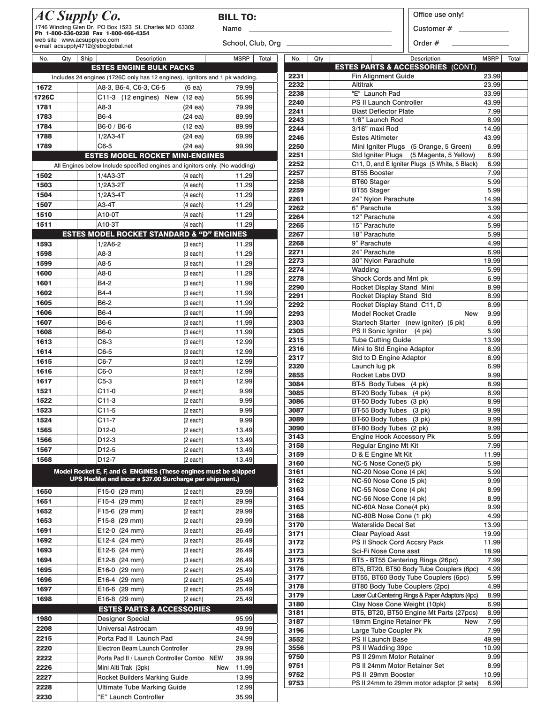|               | AC Supply Co.<br>1746 Winding Glen Dr. PO Box 1523 St. Charles MO 63302<br>Ph 1-800-536-0238 Fax 1-800-466-4354<br>web site www.acsupplyco.com |                   | <b>BILL TO:</b><br>Name |              | Office use only!<br>Customer #<br>Order $#$                                       |                      |
|---------------|------------------------------------------------------------------------------------------------------------------------------------------------|-------------------|-------------------------|--------------|-----------------------------------------------------------------------------------|----------------------|
|               | e-mail acsupply4712@sbcglobal.net                                                                                                              |                   |                         |              |                                                                                   |                      |
| No.<br>Qty    | Ship<br>Description                                                                                                                            |                   | <b>MSRP</b><br>Total    | Qty<br>No.   | Description<br><b>ESTES PARTS &amp; ACCESSORIES (CONT.)</b>                       | <b>MSRP</b><br>Total |
|               | <b>ESTES ENGINE BULK PACKS</b>                                                                                                                 |                   |                         | 2231         | <b>Fin Alignment Guide</b>                                                        | 23.99                |
|               | Includes 24 engines (1726C only has 12 engines), ignitors and 1 pk wadding.                                                                    |                   |                         | 2232         | <b>Altitrak</b>                                                                   | 23.99                |
| 1672          | A8-3, B6-4, C6-3, C6-5                                                                                                                         | (6ea)             | 79.99                   | 2238         | "E" Launch Pad                                                                    | 33.99                |
| 1726C<br>1781 | C11-3 (12 engines) New (12 ea)<br>A8-3                                                                                                         |                   | 56.99<br>79.99          | 2240         | PS II Launch Controller                                                           | 43.99                |
| 1783          | B6-4                                                                                                                                           | $(24 \text{ ea})$ | 89.99                   | 2241         | <b>Blast Deflector Plate</b>                                                      | 7.99                 |
| 1784          |                                                                                                                                                | (24ea)            | 89.99                   | 2243         | 1/8" Launch Rod                                                                   | 8.99                 |
| 1788          | B6-0 / B6-6                                                                                                                                    | $(12 \text{ ea})$ | 69.99                   | 2244         | 3/16" maxi Rod                                                                    | 14.99                |
| 1789          | $1/2A3-4T$<br>C6-5                                                                                                                             | $(24 \text{ ea})$ | 99.99                   | 2246         | <b>Estes Altimeter</b>                                                            | 43.99                |
|               | <b>ESTES MODEL ROCKET MINI-ENGINES</b>                                                                                                         | (24ea)            |                         | 2250<br>2251 | Mini Igniter Plugs (5 Orange, 5 Green)<br>Std Igniter Plugs (5 Magenta, 5 Yellow) | 6.99<br>6.99         |
|               | All Engines below Include specified engines and ignitors only. (No wadding)                                                                    |                   |                         | 2252         | C11, D, and E Igniter Plugs (5 White, 5 Black)                                    | 6.99                 |
|               |                                                                                                                                                |                   |                         | 2257         | <b>BT55 Booster</b>                                                               | 7.99                 |
| 1502<br>1503  | $1/4A3-3T$<br>$1/2A3-2T$                                                                                                                       | $(4$ each)        | 11.29                   | 2258         | <b>BT60 Stager</b>                                                                | 5.99                 |
|               |                                                                                                                                                | $(4$ each)        | 11.29                   | 2259         | BT55 Stager                                                                       | 5.99                 |
| 1504          | $1/2A3-4T$                                                                                                                                     | $(4$ each)        | 11.29                   | 2261         | 24" Nylon Parachute                                                               | 14.99                |
| 1507          | A3-4T                                                                                                                                          | (4 each)          | 11.29                   | 2262         | 6" Parachute                                                                      | 3.99                 |
| 1510          | A10-0T                                                                                                                                         | $(4$ each)        | 11.29                   | 2264         | 12" Parachute                                                                     | 4.99                 |
| 1511          | A10-3T                                                                                                                                         | $(4$ each)        | 11.29                   | 2265         | 15" Parachute                                                                     | 5.99                 |
|               | <b>ESTES MODEL ROCKET STANDARD &amp; "D" ENGINES</b>                                                                                           |                   |                         | 2267         | 18" Parachute<br>9" Parachute                                                     | 5.99<br>4.99         |
| 1593          | $1/2A6-2$                                                                                                                                      | (3 each)          | 11.29                   | 2268<br>2271 | 24" Parachute                                                                     | 6.99                 |
| 1598          | A8-3                                                                                                                                           | (3 each)          | 11.29                   | 2273         | 30" Nylon Parachute                                                               | 19.99                |
| 1599          | A8-5                                                                                                                                           | (3 each)          | 11.29                   | 2274         | Wadding                                                                           | 5.99                 |
| 1600          | A8-0                                                                                                                                           | (3 each)          | 11.29                   | 2278         | Shock Cords and Mnt pk                                                            | 6.99                 |
| 1601          | B4-2                                                                                                                                           | (3 each)          | 11.99                   | 2290         | Rocket Display Stand Mini                                                         | 8.99                 |
| 1602          | B4-4                                                                                                                                           | (3 each)          | 11.99                   | 2291         | Rocket Display Stand Std                                                          | 8.99                 |
| 1605          | B6-2                                                                                                                                           | (3 each)          | 11.99                   | 2292         | Rocket Display Stand C11, D                                                       | 8.99                 |
| 1606          | B6-4                                                                                                                                           | (3 each)          | 11.99                   | 2293         | Model Rocket Cradle<br><b>New</b>                                                 | 9.99                 |
| 1607          | B6-6                                                                                                                                           | (3 each)          | 11.99                   | 2303         | Startech Starter (new igniter) (6 pk)                                             | 6.99                 |
| 1608          | <b>B6-0</b>                                                                                                                                    | (3 each)          | 11.99                   | 2305<br>2315 | PS II Sonic Ignitor (4 pk)<br><b>Tube Cutting Guide</b>                           | 5.99<br>13.99        |
| 1613          | C6-3                                                                                                                                           | (3 each)          | 12.99                   | 2316         | Mini to Std Engine Adaptor                                                        | 6.99                 |
| 1614          | C6-5                                                                                                                                           | (3 each)          | 12.99                   | 2317         | Std to D Engine Adaptor                                                           | 6.99                 |
| 1615          | C6-7                                                                                                                                           | (3 each)          | 12.99                   | 2320         | Launch lug pk                                                                     | 6.99                 |
| 1616          | C6-0                                                                                                                                           | (3 each)          | 12.99                   | 2855         | Rocket Labs DVD                                                                   | 9.99                 |
| 1617          | $C5-3$                                                                                                                                         | (3 each)          | 12.99                   | 3084         | BT-5 Body Tubes (4 pk)                                                            | 8.99                 |
| 1521          | C11-0                                                                                                                                          | (2 each)          | 9.99                    | 3085         | BT-20 Body Tubes (4 pk)                                                           | 8.99                 |
| 1522          | $C11-3$                                                                                                                                        | (2 each)          | 9.99                    | 3086         | BT-50 Body Tubes (3 pk)                                                           | 8.99                 |
| 1523          | C11-5                                                                                                                                          | (2 each)          | 9.99                    | 3087         | BT-55 Body Tubes (3 pk)                                                           | 9.99                 |
| 1524          | C11-7                                                                                                                                          | (2 each)          | 9.99                    | 3089         | BT-60 Body Tubes (3 pk)                                                           | 9.99                 |
| 1565          | D12-0                                                                                                                                          | (2 each)          | 13.49                   | 3090<br>3143 | BT-80 Body Tubes (2 pk)<br>Engine Hook Accessory Pk                               | 9.99<br>5.99         |
| 1566          | D12-3                                                                                                                                          | (2 each)          | 13.49                   | 3158         | Regular Engine Mt Kit                                                             | 7.99                 |
| 1567          | D12-5                                                                                                                                          | (2 each)          | 13.49                   | 3159         | D & E Engine Mt Kit                                                               | 11.99                |
| 1568          | D12-7                                                                                                                                          | (2 each)          | 13.49                   | 3160         | NC-5 Nose Cone(5 pk)                                                              | 5.99                 |
|               | Model Rocket E, F, and G ENGINES (These engines must be shipped                                                                                |                   |                         | 3161         | NC-20 Nose Cone (4 pk)                                                            | 5.99                 |
|               | UPS HazMat and incur a \$37.00 Surcharge per shipment.)                                                                                        |                   |                         | 3162         | NC-50 Nose Cone (5 pk)                                                            | 9.99                 |
| 1650          | F15-0 (29 mm)                                                                                                                                  | (2 each)          | 29.99                   | 3163         | NC-55 Nose Cone (4 pk)                                                            | 8.99                 |
| 1651          | F15-4 (29 mm)                                                                                                                                  | $(2$ each)        | 29.99                   | 3164         | NC-56 Nose Cone (4 pk)                                                            | 8.99                 |
| 1652          | F15-6 (29 mm)                                                                                                                                  | (2 each)          | 29.99                   | 3165         | NC-60A Nose Cone(4 pk)                                                            | 9.99                 |
| 1653          | F15-8 (29 mm)                                                                                                                                  | (2 each)          | 29.99                   | 3168         | NC-80B Nose Cone (1 pk)                                                           | 4.99                 |
| 1691          | E12-0 (24 mm)                                                                                                                                  | (3 each)          | 26.49                   | 3170<br>3171 | Waterslide Decal Set<br><b>Clear Payload Asst</b>                                 | 13.99<br>19.99       |
| 1692          | E12-4 (24 mm)                                                                                                                                  | (3 each)          | 26.49                   | 3172         | PS II Shock Cord Accsry Pack                                                      | 11.99                |
| 1693          | E12-6 (24 mm)                                                                                                                                  | (3 each)          | 26.49                   | 3173         | Sci-Fi Nose Cone asst                                                             | 18.99                |
| 1694          | E12-8 (24 mm)                                                                                                                                  | (3 each)          | 26.49                   | 3175         | BT5 - BT55 Centering Rings (26pc)                                                 | 7.99                 |
| 1695          | E16-0 (29 mm)                                                                                                                                  | (2 each)          | 25.49                   | 3176         | BT5, BT20, BT50 Body Tube Couplers (6pc)                                          | 4.99                 |
| 1696          | E16-4 (29 mm)                                                                                                                                  | (2 each)          | 25.49                   | 3177         | BT55, BT60 Body Tube Couplers (6pc)                                               | 5.99                 |
| 1697          | E16-6 (29 mm)                                                                                                                                  | (2 each)          | 25.49                   | 3178         | BT80 Body Tube Couplers (2pc)                                                     | 4.99                 |
| 1698          | E16-8 (29 mm)                                                                                                                                  | (2 each)          | 25.49                   | 3179         | Laser Cut Centering Rings & Paper Adaptors (4pc)                                  | 8.99                 |
|               | <b>ESTES PARTS &amp; ACCESSORIES</b>                                                                                                           |                   |                         | 3180         | Clay Nose Cone Weight (10pk)                                                      | 6.99                 |
|               |                                                                                                                                                |                   |                         | 3181         | BT5, BT20, BT50 Engine Mt Parts (27pcs)                                           | 8.99                 |

3187 18mm Engine Retainer Pk New 7.99<br>3196 Large Tube Coupler Pk 7.99 3196 Large Tube Coupler Pk 7.99<br>3552 PS II Launch Base 49.99 PS II Launch Base 3556 PS II Wadding 39pc 10.99 9750 PS II 29mm Motor Retainer 9.99<br>9751 PS II 24mm Motor Retainer Set 8.99 9751 PS II 24mm Motor Retainer Set 8.99<br>9752 PS II 29mm Booster 10.99

PS II 24mm to 29mm motor adaptor (2 sets) 6.99

PS II 29mm Booster<br>19753 PS II 24mm to 29mm r

| 1090 | E10-8 (ZY IIIIII)                          | (z eacm    | 25.49 |  |
|------|--------------------------------------------|------------|-------|--|
|      | <b>ESTES PARTS &amp; ACCESSORIES</b>       |            |       |  |
| 1980 | <b>Designer Special</b>                    |            | 95.99 |  |
| 2208 | <b>Universal Astrocam</b>                  |            | 49.99 |  |
| 2215 | Porta Pad II Launch Pad                    |            | 24.99 |  |
| 2220 | Electron Beam Launch Controller            |            | 29.99 |  |
| 2222 | Porta Pad II / Launch Controller Combo NEW |            | 39.99 |  |
| 2226 | Mini Alti Trak (3pk)                       | <b>New</b> | 11.99 |  |
| 2227 | <b>Rocket Builders Marking Guide</b>       |            | 13.99 |  |
| 2228 | <b>Ultimate Tube Marking Guide</b>         |            | 12.99 |  |
| 2230 | "E" Launch Controller                      |            | 35,99 |  |